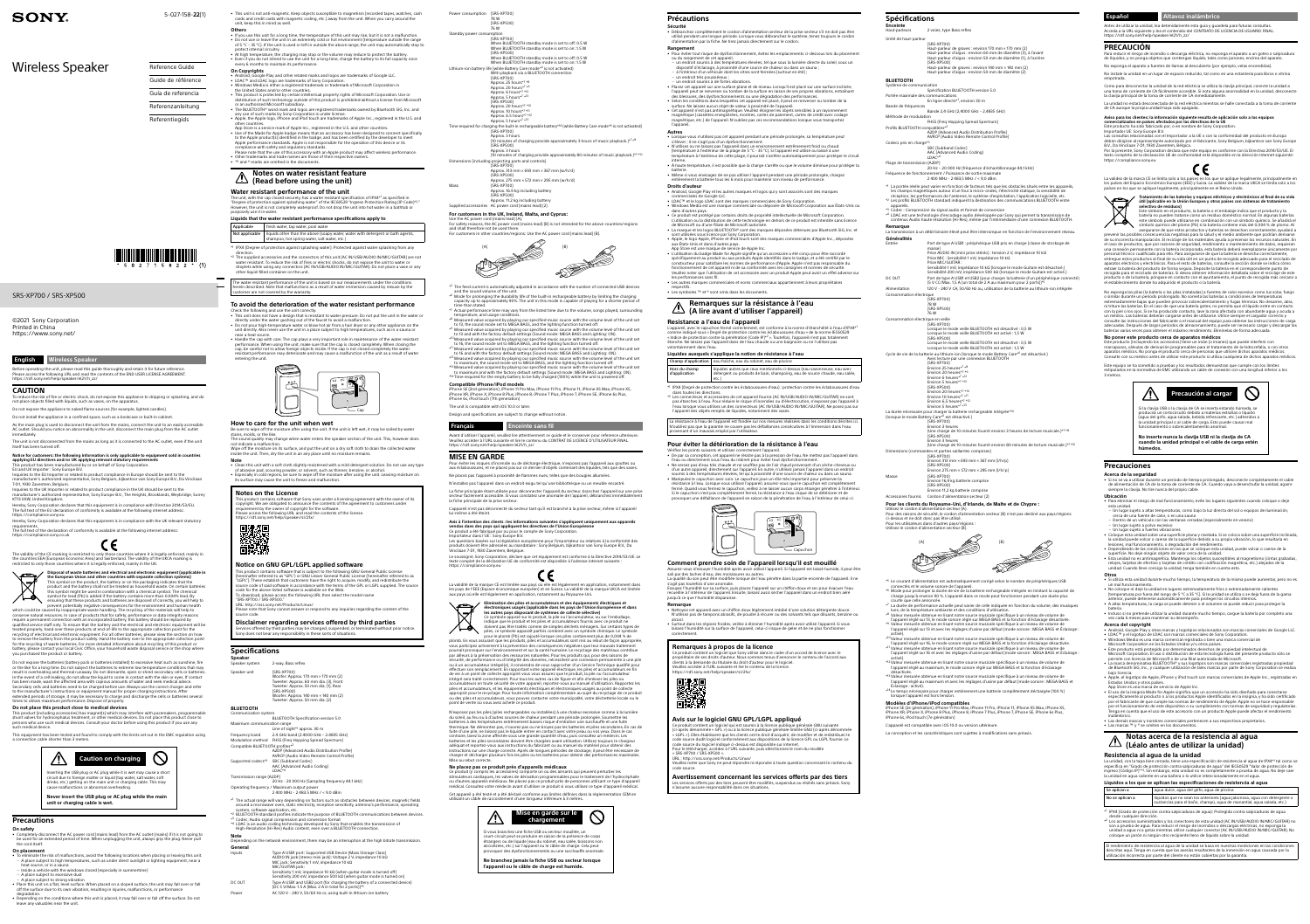# **SONY**

5-027-158-**22**(1)

### SRS-XP700 / SRS-XP500

Wireless Speaker

©2021 Sony Corporation Printed in China [https://www.sony.net/](http://www.sony.net/)

| Reference Guide    |
|--------------------|
| Guide de référence |
| Guía de referencia |
| Referenzanleitung  |
| Referentiegids     |

Before operating the unit, please read this guide thoroughly and retain it for future refere Please access the following URL and read the contents of the END USER LICENSE AGREEMENT. [https://rd1.sony.net/help/speaker/el21/h\\_zz/](https://rd1.sony.net/help/speaker/el21/h_zz/
)

To reduce the risk of fire or electric shock, do not expose this appliance to dripping or splashing, and do not place objects filled with liquids, such as vases, on the apparatur

# **English Wireless Speaker**

#### **CAUTION**

Do not expose the appliance to naked flame sources (for example, lighted candles). Do not install the appliance in a confined space, such as a bookcase or built-in cabinet.

As the main plug is used to disconnect the unit from the mains, connect the unit to an easily accessible

AC outlet. Should you notice an abnormality in the unit, disconnect the main plug from the AC outlet immediately. The unit is not disconnected from the mains as long as it is connected to the AC outlet, even if the unit itself has been turned off.

**Notice for customers: the following information is only applicable to equipment sold in countries** 

The validity of the CE marking is restricted to only those countries where it is legally enforced, mainly in<br>the countries EEA (European Economic Area) and Switzerland. The validity of the UKCA marking is restricted to only those countries where it is legally enforced, mainly in the UK.



**applying EU directives and/or UK applying relevant statutory requirements** This product has been manufactured by or on behalf of Sony Corporation.

EU and UK Importer : Sony Europe B.V.

lnquiries to the EU Importer or related to product compliance in Europe should be sent to the<br>manufacturer's authorized representative, Sony Belgium, bijkantoor van Sony Europe B.V., Da Vincilaan<br>7-D1, 1930 Zaventem, Belgi

Disposal of waste batteries and electrical and electronic equipment (applicable in<br>the European Union and other countries with separate collection systems)<br>This symbol on the product, the battery or on the packaging indica ensuring that these products and batteries are disposed of correctly, you will help to

prevent potentially negative consequences for the environment and human health<br>which could be caused by inappropriate waste handling. The recycling of the materials will help to<br>conserve natural resources. In case of produ treated properly, hand over these products at end-of-life to the appropriate collection point for the recycling of electrical and electronic equipment. For all other batteries, please view the section on how<br>to remove the battery from the product safely. Hand the battery over to the appropriate collection point<br>for the rec

Inquiries to the UK Importer or related to product compliance in the UK should be sent to the manufacturer's authorized representative, Sony Europe B.V., The Heights, Brooklands, Weybridge, Surrey KT13 0XW, United Kingdom.

Hereby, Sony Corporation declares that this equipment is in compliance with Directive 2014/53/EU. The full text of the EU declaration of conformity is available at the following internet address: <https://compliance.sony.eu>

Hereby, Sony Corporation declares that this equipment is in compliance with the UK relevant statutory requirements. The full text of the declaration of conformity is available at the following internet address:

**CE** 

<https://compliance.sony.co.uk>

**Precautions On safety**<br>• Completely di

the cord itsel

#### **A** Notes on water resistant feature **(Read before using the unit)**

Do not expose the batteries (battery pack or batteries installed) to excessive heat such as sunshine, fire or the like for a long time. Do not subject the batteries to extreme low temperature conditions that may result in overheating and thermal runaway. Do not dismantle, open or shred secondary cells or batteries.<br>In the event of a cell leaking, do not allow the liquid to come in contact with the skin or eyes. If contact<br>has been Secondary cells and batteries need to be charged before use. Always use the correct charger and refer to the manufacturer's instructions or equipment manual for proper charging instructions. After extended periods of storage, it may be necessary to charge and discharge the cells or batteries several times to obtain maximum performance. Dispose of properly.

**Do not place this product close to medical devices**

The water resistant performance of the unit is based on our measurements under the conditions herein described. Note that malfunctions as a result of water immersion caused by misuse by the customer are not covered by the warranty.

This product (including accessories) has magnet(s) which may interfere with pacemakers, programmable shunt valves for hydrocephalus treatment, or other medical devices. Do not place this product close to persons who use such medical devices. Consult your doctor before using this product if you use any

such medical device.

This equipment has been tested and found to comply with the limits set out in the EMC regulation using

Be sure to wipe off the moisture after using the unit. If the unit is left wet, it may be soiled by water stains, molds, or the like. The sound quality may change when water enters the speaker section of the unit. This, however does<br>not indicate a malfunction.<br>Wipe off the moisture on its surface, and put the unit on a dry soft cloth to drain the collect

 **Caution on charging**  nserting the USB plug or AC plug while it is wet may cause a short circuit due to foreign matter or liquid (tap water, salt water, soft drinks, etc.) getting on the main unit or charging cable. This may cause malfunctions or abnormal overheating. **Never insert the USB plug or AC plug while the main** 

endect the AC power cord (mains lead) from the AC outlet (mains) if it is not going to

**unit or charging cable is wet.**

be used for an extended period of time. When unplugging the unit, always grip the plug. Never pull

This product contains software that Sony uses under a licensing agreement with the owner of its copyright. We are obligated to announce the contents of the agreement to customers under rement by the owner of copyright for the software. lease access the following URL and read the contents of the license

**On placement** • To eliminate the risk of malfunctions, avoid the following locations when placing or leaving this unit. – A place subject to high temperatures, such as under direct sunlight or lighting equipment, near a

heat source, or in a sauna

leave any valuables near the unit

a connection cable shorter than 3 meter

– Inside a vehicle with the windows closed (especially in summertime)

This product contains software that is subject to the following GNU General Public License<br>(hereinafter referred to as "GPL") or GNU Lesser General Public License (hereinafter referred to as<br>"LGPL"). These establish that c ode for the above-listed software is available on the Web. To download, please access the following URL then select the model name

– A place subject to excessive dust – A place subject to strong vibration • Place this unit on a flat, level surface. When placed on a sloped surface, the unit may fall over or fall off the surface due to its own vibration, resulting in injuries, malfunctions, or performan degradation. • Depending on the conditions where this unit is placed, it may fall over or fall off the surface. Do not • This unit is not anti-magnetic. Keep objects susceptible to magnetism (recorded tapes, watches, cash cards and credit cards with magnetic coding, etc.) away from the unit. When you carry around the unit, keep this in mind as well. **Others**

- If you use this unit for a long time, the temperature of this unit may rise, but it is not a malfunction. • Do not use or leave the unit in an extremely cold or hot environment (temperature outside the range of 5 °C – 35 °C). If the unit is used or left in outside the above range, the unit may automatically stop to protect internal circuitry.<br>• At high temperature, the charging may stop or the volume may reduce to protect the battery.<br>• Even if you do not intend to use the unit for a long time, charge the battery to its full capacity
- **On Copyrights**
- Android, Google Play and other related marks and logos are trademarks of Google LLC. • LDAC™ and LDAC logo are trademarks of Sony Corporation.<br>• Windows Media is either a registered trademark or trademark of Microsoft Corporation in<br>• the United States and/or other countries.
- This product is protected by certain intellectual property rights of Microsoft Corporation. Use or distribution of such technology outside of this product is prohibited without a license from Microsoft
- or an authorized Microsoft subsidiary.<br>• The BLUETOOTH® word mark and logos are registered trademarks owned by Bluetooth SIG, Inc. and<br>• any use of such marks by Sony Corporation is under license.<br>• Apple, the Apple logo,
- other countries. App Store is a service mark of Apple Inc., registered in the U.S. and other countries. Use of the Made for Apple badge means that an accessory has been designed to connect specifically<br>to the Apple product(s) identified in the badge, and has been certified by the developer to meet<br>Apple performance standards
- compliance with safety and regulatory standards. Please note that the use of this accessory with an Apple product may affect wireless performance. • Other trademarks and trade names are those of their respective owner • ™ and ® marks are omitted in the documents.

(SRS-XP500) Approx. 11.2 kg including battery ories AC power cord (mains lead) (2) **For customers in the UK, Ireland, Malta, and Cyprus:** Use the AC power cord (mains lead) (A).<br>For safety reasons, the AC power cord (mains lead) (B) is not intended for the above countries/regions<br>and shall therefore not be used there.

 $5$  The feed current is automatically adjusted in accordance with the number of connected USB devices and the sound volume of the unit.

- $^{*6}$  Mode for prolonging the durability life of the built-in rechargeable battery by limiting the charging capacity up to approximately 90%. The unit in this mode is capable of playing for a shorter period of time than stated. The mass call the curve.
- temperature, and usage conditions. \*8 Measured value acquired by playing our specified music source with the volume level of the unit set to 13, the sound mode set to MEGA BASS, and the lighting function turned off.<br>\*9 Measured value acquired by playing our specified music source with the volume level of the unit set\*<br>to 13 and with the factory default setti
- \*10Measured value acquired by playing our specified music source with the volume level of the unit set to 16, the sound mode set to MEGA BASS, and the lighting function turned off.
- <sup>\*11</sup> Measured value acquired by playing our specified music source with the volume level of the unit set<br>to 16 and with the factory default settings (Sound mode: MEGA BASS and Lighting: ON).<br><sup>\*12</sup> Measured value acquired \*13 Measured value acquired by playing our specified music source with the volume level of the unit set to maximum and with the factory default settings (Sound mode: MEGA BASS and Lighting: ON).
- \*<sup>14</sup> Time required for the empty battery to be fully charged (100%) while the unit is powered off **Compatible iPhone/iPod models**

iPhone SE (2nd generation), iPhone 11 Pro Max, iPhone 11 Pro, iPhone 11, iPhone XS Max, iPhone XS,<br>iPhone XR, iPhone X, iPhone 8 Plus, iPhone 8, iPhone 7 Plus, iPhone 7, iPhone SE, iPhone 6s Plus, iPhone 6s, iPod touch (7th generation The unit is compatible with iOS 10.0 or later.

- **Water resistant performance of the unit**
- The unit, with the cap closed securely, has a water resistant specification of IPX4\*1 as specified in<br>"Degree of protection against splashing water" of the IEC60529 "Ingress Protection Rating (IP Code)\*<sup>2</sup>."
- However, the unit is not completely waterproof. Do not drop the unit into hot water in a bathtub or purposely use it in water.
- **Liquids that the water resistant performance specifications apply to** Applicable fresh water, tap water, pool water Not applicable liquids other than the above (soapy water, water with detergent or bath agents, shampoo, hot spring water, salt water, etc.)
- \*1 IPX4 (Degree of protection against splashing water): Protected against water splashing from any direction. \*2 The supplied accessories and the connectors of this unit (AC IN/USB/AUDIO IN/MIC/GUITAR) are not water resistant. To reduce the risk of fires or electric shocks, do not expose the unit to water or droplets while using any connectors (AC IN/USB/AUDIO IN/MIC/GUITAR). Do not place a vase or any other liquid-filled container on the unit.

# **To avoid the deterioration of the water resistant performance**

- Check the following and use the unit correctly. This unit does not have a design that is resistant to water pressure. Do not put the unit in the water or directly under the water gushing out of the faucet to avoid a malfunction.<br>• Do not pour high-temperature water or blow hot air from a hair dryer or any other appliance on the<br>• unit directly. Also never use the unit in a
- near a heat source. • Handle the cap with care. The cap plays a very important role in maintenance of the water resistant
- performance. When using the unit, make sure that the cap is closed completely. When closing the<br>cap, be careful not to allow foreign objects inside. If the cap is not closed completely the water<br>resistant performance may d entering the unit.



# **How to care for the unit when wet**

inside the unit. Then, dry the unit in an airy place until no moisture remains. **Note** • Clean this unit with a soft cloth slightly moistened with a mild detergent solution. Do not use any type

of abrasive pad, scouring powder, or solvent, such as thinner, benzine, or alcohol.<br>• Especially in cold regions, be sure to wipe off the moisture after using the unit. Leaving moisture on<br>• its surface may cause the unit

N'exposez pas les piles (piles rechargeables ou installées) à une chaleur excessive comme à la lumière<br>du soleil, au feu ou à d'autres sources de chaleur pendant une période prolongée. Soumettre les<br>batteries à des tempéra thermique. Ne démontez pas, n'ouvrez pas ou ne broyez pas les batteries et piles secondaires. En cas de fuite d'une pile, ne laissez pas le liquide entrer en contact avec votre peau ou vos yeux. Dans le cas contraire, lavez la zone affectée sous une grande quantité d'eau, puis consultez un médecin. Les<br>batteries et les piles secondaires doivent être chargées avant utilisation. Utilisez toujours le chargeur<br>adéquat et reportez instructions sur une charge correcte. Après de longues périodes de stockage, il peut être nécessaire de charger et décharger plusieurs fois les piles ou les batteries pour obtenir des performances maximales. Mise au rebut correcte.

#### **Notes on the License**

Ce produit (y compris les accessoires) comporte un ou des aimants qui peuvent perturber les<br>stimulateurs cardiaques, les valves de dérivation programmables pour le traitement de l'hydrocéphalie<br>ou d'autres appareils médica médical. Consultez votre médecin avant d'utiliser ce produit si vous utilisez ce type d'appareil médical. Cet appareil a été testé et a été déclaré conforme aux limites définies dans la réglementation CEM en utilisant un câble de raccordement d'une longueur inférieure à 3 mètres.



#### **Notice on GNU GPL/LGPL applied software**

• Pour éviter tout risque de dysfonctionnement, évitez les emplacements ci-dessous lors du placement ou du rangement de cet appareil.<br>– un endroit soumis à des températures élevées, tel que sous la lumière directe du soleil, sous un<br>– dispositif d'éclairage, à proximité d'une source de chaleur ou dans un sauna ;<br>– à l'int

un endroit très poussiéreux ; – un endroit soumis à de fortes vibrations. • Placez cet appareil sur une surface plane et de niveau. Lorsqu'il est placé sur une surface inclinée,<br>l'appareil peut se renverser ou tomber de la surface en raison de ses propres vibrations, entraînant<br>des blessures, de

"SRS-XP700 / SRS-XP500."

URL:<http://oss.sony.net/Products/Linux/> Please note that Sony cannot answer or respond to any inquiries regarding the content of the source code.

**Disclaimer regarding services offered by third parties** Services offered by third parties may be changed, suspended, or terminated without prior notice. Sony does not bear any responsibility in these sorts of situations.

#### **Specifications**

entièrement la batterie tous les 6 mois pour maintenir son niveau de performance. **Droits d'auteur**

| -------------<br>Speaker         |                                                                                                                                                                                                                                                              |
|----------------------------------|--------------------------------------------------------------------------------------------------------------------------------------------------------------------------------------------------------------------------------------------------------------|
| Speaker system                   | 2-way, Bass reflex                                                                                                                                                                                                                                           |
| Speaker unit                     | (SRS-XP700)<br>Woofer: Approx. 170 mm $\times$ 170 mm (2)<br>Tweeter: Approx. 60 mm dia. (3), Front<br>Tweeter: Approx. 50 mm dia. (1), Rear<br>(SRS-XP500)<br>Woofer: Approx. $140 \text{ mm} \times 140 \text{ mm}$ (2)<br>Tweeter: Approx. 50 mm dia. (2) |
| <b>BLUETOOTH</b>                 |                                                                                                                                                                                                                                                              |
| Communication system             |                                                                                                                                                                                                                                                              |
|                                  | BLUETOOTH Specification version 5.0                                                                                                                                                                                                                          |
| Maximum communication range      | Line of sight <sup>*1</sup> approx. 30 m                                                                                                                                                                                                                     |
| Frequency band                   | 2.4 GHz band (2.4000 GHz - 2.4835 GHz)                                                                                                                                                                                                                       |
|                                  | Modulation method    FHSS (Freg Hopping Spread Spectrum)                                                                                                                                                                                                     |
| Comnatible RLLIETOOTH profilec*2 |                                                                                                                                                                                                                                                              |

nerciales de Google LLC. • LDAC™ et le logo LDAC sont des marques commerciales de Sony Corporation.

App Store est une marque de service de Apple Inc. • L'utilisation du badge Made for Apple signifie qu'un accessoire a été conçu pour être raccordé spécifiquement au produit ou aux produits Apple identifiés dans le badge, et a été certifié par le<br>constructeur pour satisfaire les normes de performance d'Apple. Apple n'est pas responsable du<br>fonctionnement de cet appare

Compatible BLUETOOTH profiles\*2 A2DP (Advanced Audio Distribution Profile) AVRCP (Audio Video Remote Control Profile) Supported codecs\*3 SBC (Subband Codec) AAC (Advanced Audio Coding) LDAC\*4 Transmission range (A2DP)

20 Hz - 20 000 Hz (Sampling frequency 44.1 kHz) Operating frequency / Maximum output power 2 400 MHz - 2 483.5 MHz / < 9.0 dBm

\*1 The actual range will vary depending on factors such as obstacles between devices, magnetic fields around a microwave oven, static electricity, reception sensitivity, antenna's performance, operating

system, software application, etc. \*2 BLUETOOTH standard profiles indicate the purpose of BLUETOOTH communications between devices. \*3 Codec: Audio signal compression and conversion format

\*4 LDAC is an audio coding technology developed by Sony that enables the transmission of High-Resolution (Hi-Res) Audio content, even over a BLUETOOTH connection.

**Note** Depending on the network environment, there may be an interruption at the high bitrate transmission. **General**

pas étanches à l'eau. Pour réduire le risque d'incendies ou d'électrocution, n'exposez pas l'appareil à<br>l'eau lorsque vous utilisez un des connecteurs (AC IN/USB/AUDIO IN/MIC/GUITAR). Ne posez pas sur<br>l'appareil des objets La résistance à l'eau de l'appareil est fondée sur nos mesures réalisées dans les conditions décrites ici. N'oubliez pas que la garantie ne couvre pas les défaillances consécutives à l'immersion dans l'eau

enant d'un mauvais emploi par l'utilisateur.

| General |                                                                                                                                                                              |
|---------|------------------------------------------------------------------------------------------------------------------------------------------------------------------------------|
| Inputs  | Type A USB1 port: Supported USB Device (Mass Storage Class)<br>AUDIO IN jack (stereo mini jack): Voltage 2 V, impedance 10 kΩ<br>MIC jack: Sensitivity 1 mV, impedance 10 kΩ |
|         | MIC/GUITAR jack:<br>Sensitivity 1 mV, impedance 10 kΩ (when quitar mode is turned off)<br>Sensitivity 200 mV, impedance 500 k $\Omega$ (when quitar mode is turned on)       |
| DC OUT  | Type A USB1 and USB2 port (for charging the battery of a connected device)<br>(DC 5 V/Max, 1.5 A (Max, 2 A in total for 2 ports)) $*5$                                       |
| Power   | AC 120 V - 240 V, 50/60 Hz or, using built-in lithium-ion battery                                                                                                            |

| Power consumption (SRS-XP700) | 78 W<br>(SRS-XP500)<br>76 W                                                                                                                                                                                                                                                                                                                                                        |
|-------------------------------|------------------------------------------------------------------------------------------------------------------------------------------------------------------------------------------------------------------------------------------------------------------------------------------------------------------------------------------------------------------------------------|
| Standby power consumption     | (SRS-XP700)<br>When BLUETOOTH standby mode is set to off: 0.5 W<br>When BLUETOOTH standby mode is set to on: 1.5 W<br>(SRS-XP500)<br>When BLUETOOTH standby mode is set to off: 0.5 W<br>When BLUETOOTH standby mode is set to on: 1.5 W                                                                                                                                           |
|                               | Lithium-ion battery life (while Battery Care mode*6 is not activated)<br>With playback via a BLUETOOTH connection<br>(SRS-XP700)<br>Approx. 25 hours*7 *8<br>Approx. 20 hours*7 *9<br>Approx. 6 hours*7 *12<br>Approx. 5 hours*7 *13<br>(SRS-XP500)<br>Approx. 20 hours*7 *10<br>Approx. 10 hours*7 *11<br>Approx. 6.5 hours*7 *12<br>Approx. 5 hours*7 *13                        |
|                               | Time required for charging the built-in rechargeable battery* <sup>14</sup> (while Battery Care mode* <sup>6</sup> is not activated)<br>(SRS-XP700)<br>Approx. 3 hours<br>(10 minutes of charging provide approximately 3 hours of music playback.) $*7*8$<br>(SRS-XP500)<br>Approx. 3 hours<br>(10 minutes of charging provide approximately 80 minutes of music playback.)*7 *10 |
|                               | Dimensions (including projecting parts and controls)<br>(SRS-XP700)<br>Approx. 313 mm × 693 mm × 367 mm (w/h/d)<br>(SRS-XP500)<br>Approx. 275 mm × 572 mm × 295 mm (w/h/d)                                                                                                                                                                                                         |
| Mass                          | (SRS-XP700)<br>Approx. 16.9 kg including battery                                                                                                                                                                                                                                                                                                                                   |

it un logiciel que Sony utilise dans le cadre d'un accord de licence avec le propriétaire de ses droits d'auteur. Nous sommes tenus d'annoncer le contenu de l'accord aux clients à la demande du titulaire du droit d'auteur pour le logiciel. Veuillez accéder à l'URL suivante et lire le contenu de la licence.

Ce produit contient un logiciel qui est soumis à la licence publique générale GNU suivante<br>(ci-après dénommée « GPL ») ou à la licence publique générale limitée GNU (ci-après dénommée<br>« LGPL »). Elles établissent que les c code source dudit logiciel conformément aux dispositions de la licence GPL ou LGPL fournie. Le code source du logiciel indiqué ci-dessus est disponible sur internet. Pour le télécharger, accédez à l'URL suivante, puis sélectionnez le nom du modèle

« SRS-XP700 / SRS-XP500 ». URL : <http://oss.sony.net/Products/Linux/> ve : nep.//oss.sony.neo i toutees/enux/<br>euillez noter que Sony ne peut répondre ni répondre à toute question concernant le contenu di

ode source

**Spécifications Enceinte** 2 voies, type Bass reflex Unité de haut-parleu (SRS-XP700) Haut-parleur de graves : environ 170 mm × 170 mm (2) Haut-parleur d'aigus : environ 60 mm de diamètre (3), à l'avant Haut-parleur d'aigus : environ 50 mm de diamètre (1), à l'arrière (SRS-XP500) Haut-parleur de graves : environ 140 mm × 140 mm (2) Haut-parleur d'aigus : environ 50 mm de diamètre (2) **BLUETOOTH** nicatio Spécification BLUETOOTH version 5.0 Portée maximale des communications En ligne directe\*1 , environ 30 m Bande de fréquences .<br>Bande 2,4 GHz (2,4000 GHz – 2,4835 GHz).



1 La portée réelle peut varier en fonction de facteurs tels que les obstacles situés entre les appareils, les<br>les champs magnétiques autour d'un four à micro-ondes, l'électricité statique, la sensibilité de l'<br>réception, l \*2 Les profils BLUETOOTH standard indiquent la destination des communications BLUETOOTH entre

Port de type A USB1 : périphérique USB pris en charge (classe de stockage de masse) Prise AUDIO IN (mini prise stéréo) : tension 2 V, impédance 10 kΩ Prise MIC : Sensibilité 1 mV, impédance 10 kΩ Prise MIC/GUITAR : Sensibilité 1 mV, impédance 10 kΩ (lorsque le mode Guitare est désactivé.) Sensibilité 200 mV, impédance 500 kΩ (lorsque le mode Guitare est activé.) DC OUT Port de type A USB1 et USB2 (pour charger la batterie d'un périphérique connecté) (5 V CC/Max. 1,5 A (un total de 2 A au maximum pour 2 ports))\*5

Utilisez le cordon d'alimentation secteur (A). Pour des raisons de sécurité, le cordon d'alimentation secteur (B) n'est pas destiné aux pays/régions<br>ci-dessus et ne doit donc pas être utilisé.<br>Pour les utilisateurs dans d'autres pays/régions :

Design and specifications are subject to change without notice.

**Français Enceinte sans fil**

#### Avant d'utiliser l'appareil, veuillez lire attentivement ce guide et le conserver pour reference ulterieure. Veuillez accéder à l'URL suivante et lire le contenu du CONTRAT DE LICENCE D'UTILISATEUR FINAL. [https://rd1.sony.net/help/speaker/el21/h\\_zz/](https://rd1.sony.net/help/speaker/el21/h_zz/
)

**MISE EN GARDE**

Pour éviter les risques d'incendie ou de décharge électrique, n'exposez pas l'appareil aux gouttes ou aux éclaboussures, et ne placez pas sur ce dernier d'objets contenant des liquides, tels que des vases. Ne placez pas l'appareil à proximité de flammes nues, telles que des bougies allumées.

N'installez pas l'appareil dans un endroit exigu tel qu'une bibliothèque ou un meuble encastré.

La fiche principale étant utilisée pour déconnecter l'appareil du secteur, branchez l'appareil sur une prise secteur facilement accessible. Si vous constatez une anomalie de l'appareil, débranchez immédiatement la fiche principale de la prise secteur.

L'appareil n'est pas déconnecté du secteur tant qu'il est branché à la prise secteur, même si l'appareil lui-même a été éteint.

**Avis à l'intention des clients : les informations suivantes s'appliquent uniquement aux appareils** 

**vendus dans des pays qui appliquent les directives de l'Union Européenne<br>Ce produit a été fabriqué par ou pour le compte de Sony Corporation.<br>Importateur dans l'UE : Sony Europe B.V.<br>Les questions basées sur la législatio** 

Vincilaan 7-D1, 1930 Zaventem, Belgique. Le soussigné, Sony Corporation, déclare que cet équipement est conforme à la Directive 2014/53/UE. Le texte complet de la déclaration UE de conformité est disponible à l'adresse internet suivante <https://compliance.sony.eu>



La validité de la marque CE est limitée aux pays où elle est légalement en application, notamment dans<br>les pays de l'EEE (Espace économique européen) et en Suisse. La validité de la marque UKCA est limitée<br>aux pays où elle



# Elimination des piles et accumulateurs et des équipements électriques et<br>électroniques usagés (applicable dans les pays de l'Union Européenne et dans<br>les autres pays disposant de systèmes de collecte sélective)<br>Ce symbole

Importador UE: Sony Europe B.V.<br>Las consultas relacionadas con el Importador a la UE o con la conformidad del producto en Europa<br>deben dirigirse al representante autorizado por el fabricante, Sony Belgium, bijkantoor van S Por la presente, Sony Corporation declara que este equipo es conforme con la Directiva 2014/53/UE. El texto completo de la declaración UE de conformidad está disponible en la dirección Internet siguiente:



símbolo químico del plomo (Pb) si la batería contiene más del 0,004 % de plomo. Al asegurarse de que estos productos y baterías se desechan correctamente, ayudará a prevenir las posibles consecuencias negativas para la salud y el medio ambiente que podrían derivarse<br>de su incorrecta manipulación. El reciclaje de los materiales ayuda a preservar los recursos naturales. En<br>el caso de pr una conexión permanente con la batería incorporada, esta batería deberá reemplazarse únicamente por personal técnico cualificado para ello. Para asegurarse de que la batería se desecha correctamente, entregue estos productos al final de su vida útil en un punto de recogida adecuado para el reciclado de<br>aparatos eléctricos y electrónicos. Para el resto de baterías, consulte la sección donde se indica cómo<br>extraer la bat

pour le plomb (Pb) est rajouté lorsque ces piles contiennent plus de 0,004 % de plomb. En vous assurant que les produits, piles et accumulateurs sont mis au rebut de façon appropriée, vous participez activement à la prévention des conséquences négatives que leur mauvais traitement<br>pourrait provoquer sur l'environnement et sur la santé humaine. Le recyclage des matériaux contribue<br>par ailleurs à la prése sécurité, de performance ou d'intégrité des données, nécessitent une connexion permanente à une pile ou à un accumulateur intégré(e), il conviendra de vous rapprocher d'un Service Technique qualifié pour effectuer son remplacement. En rapportant votre appareil électrique, les piles et accumulateurs en fin de vie à un point de collecte approprié vous vous assurez que le produit, la pile ou l'accumulateur intégré sera traité correctement. Pour tous les autres cas de figure et afin d'enlever les piles ou<br>accumulateurs en toute sécurité de votre appareil, reportez-vous au manuel d'utilisation. Rapportez les<br>piles et accumulat approprié pour le recyclage. Pour toute information complémentaire au sujet du recyclage de ce produit ou des piles et accumulateurs, vous pouvez contacter votre municipalité, votre déchetterie locale ou le point de vente où vous avez acheté ce produit.

Este producto (incluyendo los accesorios) tiene un imán (o imanes) que puede interferir con<br>marcapasos, válvulas de derivación programables para el tratamiento de la hidrocefalia, o con otros<br>aparatos médicos. No ponga el Este equipo se ha sometido a pruebas y los resultados demuestran que cumple con los límites estipulados en la normativa de EMC utilizando un cable de conexión con una longitud inferior a los

– Un lugar sujeto a polvo excesivo – Un lugar sujeto a fuertes vibraciones • Coloque esta unidad sobre una superficie plana y nivelada. Si se coloca sobre una superficie inclinada, la unidad puede volcar o caerse de la superficie debido a su propia vibración, lo que resultaría en lesiones, mal funcionamiento, o degradación del rendimiento. • Dependiendo de las condiciones en las que se coloque esta unidad, puede volcar o caerse de la superfície. No deje ningún objeto de valor cerca de la unidad.<br>● Esta unidad no es antimagnética. Mantenga los objetos susceptibles al magnetismo (cintas grabadas,<br>relojes, tarjetas de efectivo y tarjetas de crédito con

• Si utiliza esta unidad durante mucho tiempo, la temperatura de la misma puede aumentar, pero no es<br>· un mal funcionamiento.<br>• No coloque ni deje la unidad en lugares extremadamente fríos o extremadamente calientes (temperaturas por fuera del rango de 5 °C a 35 °C). Si la unidad se utiliza o se deja fuera de la gama

## **Ne placez pas ce produit près d'appareils médicaux**

- El uso de la insignia Made for Apple significa que un accesorio ha sido diseñado para conectarse<br>específicamente al producto o a los productos Apple identificados en la insignia, y ha sido certificado<br>por el fabricante d por el funcionamiento de este dispositivo o su cumplimiento con normas de seguridad y regulatorias. Tenga en cuenta que el uso de este accesorio con un producto Apple puede afectar el rendimiento

La unidad, con la tapa bien cerrada, tiene una especificación de resistencia al agua de IPX4\*<sup>1</sup> tal como<br>especifica en "Grado de protección contra salpicaduras de agua" del IEC60529 "Valor de protección de

ingreso (Código IP)"\*2. Sin embargo, esta unidad no es completamente a prueba de agua. No deje caer<br>la unidad en agua caliente en una bañera o lo utilice intencionadamente en el agua.



**l'appareil ou le câble de charge est humide.**

# <u> III Martin Martin Martin III Martin Martin III Martin Martin Martin Martin Martin Martin Martin Martin Marti</u>

#### **Précautions**

**Sécurité**<br>• Débranchez complètement le cordon d'alimentation secteur de la prise secteur s'il ne doit pas être • Débranchez complètement le cordon d'alimentation secteur de la prise secteur s'il ne doit pas être<br> utilisé pendant une longue période. Lorsque vous débranchez le système, tenez toujours le cordon<br> d'alimentation par l

#### **Rangement**

\*2 Los accesorios suministrados y los conectores de esta unidad (AC IN/USB/AUDIO IN/MIC/GUITAR) no son a prueba de agua. Para reducir el riesgo de incendios o descargas eléctricas, no exponga la<br>unidad a agua ni a gotas mientras utilice cualquier conector (AC IN/USB/AUDIO IN/MIC/GUITAR). No

• Cet appareil n'est pas antimagnétique. Veuillez éloigner les objets sensibles à un rayonnement magnétique (cassettes enregistrées, montres, cartes de paiement, cartes de crédit avec codage magnétique, etc.) de l'appareil. N'oubliez pas ces recommandations lorsque vous transportez l'appareil. **Autres**

• Lorsque vous n'utilisez pas cet appareil pendant une période prolongée, sa température peut s'élever ; il ne s'agit pas d'un dysfonctionnement. • N'utilisez ou ne laissez pas l'appareil dans un environnement extrêmement froid ou chaud (température à l'extérieur de la plage de 5 °C - 35 °C). Si l'appareil est utilisé ou laissé à une température à l'extérieur de cette plage, il pourrait s'arrêter automatiquement pour protéger le circuit

interne. • À haute température, il est possible que la charge s'arrête ou que le volume diminue pour protéger la batterie. • Même si vous envisagez de ne pas utiliser l'appareil pendant une période prolongée, chargez

#### • Android, Google Play et les autres marques et logos qui y sont associés sont des marques

• Windows Media est une marque commerciale ou déposée de Microsoft Corporation aux États-Unis ou dans d'autres pays. • Ce produit est protégé par certains droits de propriété intellectuelle de Microsoft Corporation. L'utilisation ou la distribution de cette technologie en dehors de ce produit est interdite sans licence de Microsoft ou d'une filiale de Microsoft autorisée.

• La marque et les logos BLUETOOTH® sont des marques déposées détenues par Bluetooth SIG, lnc. et<br>- sont utilisées sous licence par Sony Corporation.<br>• Apple, le logo Apple, iPhone et iPod touch sont des marques commercial

les performances sans fil. • Les autres marques commerciales et noms commerciaux appartiennent à leurs propriétaires

respectifs. • Les symboles ™ et ® sont omis dans les documents.

#### **Remarques sur la résistance à l'eau (A lire avant d'utiliser l'appareil)**

## **Resistance a l'eau de l'appareil**

L'appareil, avec le capuchon fermé correctement, est conforme à la norme d'étanchéité à l'eau d'IPX4\*1 comme indiqué sous « Degré de protection contre les éclaboussures d'eau » de la norme IEC60529 Indice de protection contre la pénétration (Code IP) $*2$ ». Toutefois, l'appareil n'est pas totalement étanche. Ne laissez pas l'appareil dans de l'eau chaude ou une baignoire ou ne l'utilisez pas

#### volontairement dans l'eau. **Liquides auxquels s'applique la notion de résistance à l'eau**

|                                | Champ d'application   eau fraîche, eau du robinet, eau de piscine                                                                                              |  |
|--------------------------------|----------------------------------------------------------------------------------------------------------------------------------------------------------------|--|
| Hors du champ<br>d'application | liquides autres que ceux mentionnés ci-dessus (eau savonneuse, eau avec<br>détergent ou produits de bain, shampoing, eau de source chaude, eau salée,<br>etc.) |  |

\*1 IPX4 (Degré de protection contre les éclaboussures d'eau) : protection contre les éclaboussures d'eau dans toutes les directions. \*2 Les connecteurs et accessoires de cet appareil fournis (AC IN/USB/AUDIO IN/MIC/GUITAR) ne sont

#### **Pour éviter la détérioration de la résistance à l'eau**

Vérifiez les points suivants et utilisez correctement l'appareil. • De par sa conception, cet appareil ne résiste pas à la pression de l'eau. Ne mettez pas l'appareil dans l'eau ou directement sous l'eau du robinet pour éviter tout dysfonctionnement. • Ne versez pas d'eau très chaude et ne soufflez pas de l'air chaud provenant d'un sèche-cheveux ou d'un autre appareil, directement sur l'appareil. En outre, n'utilisez jamais l'appareil dans un endroit<br>soumis à des températures élevées, tel qu'à proximité d'une source de chaleur ou dans un sauna.<br>• Manipulez le capucho fermé. Quand vous fermez le capuchon, veillez à ne laisser aucun corps étranger pénétrer à l'intérieur. Si le capuchon n'est pas complètement fermé, la résistance à l'eau risque de se détériorer et de



# **Comment prendre soin de l'appareil lorsqu'il est mouillé**

Assurez-vous d'essuyer l'humidité après avoir utilisé l'appareil. Si l'appareil est laissé humide, il peut être<br>sali par des taches d'eau, des moisissures ou autres. La qualité du son peut être modifiée lorsque de l'eau pénètre dans la partie enceinte de l'appareil. Il ne s'agit pas toutefois d'une anomalie.<br>Essuvez l'humidité sur sa surface, puis placez l'appareil sur un chiffon doux et sec pour évacuer l'eau Essuyez l'humidité sur sa surface, puis placez l'appareil sur un chiffon doux et sec pour évacuer l'eau<br>recueillie à l'intérieur de l'appareil. Ensuite, laissez aussi sécher l'appareil dans un endroit bien aéré<br>jusqu'à ce

**Remarque**

• Nettoyez cet appareil avec un chiffon doux légèrement imbibé d'une solution détergente douce. N'utilisez pas de tampons abrasifs, de poudre à récurer ou des solvants tels que diluants, benzine ou

alcool.<br>• Surtout dans les régions froides, veillez à éliminer l'humidité après avoir utilisé l'appareil. Si vous<br>laissez l'humidité sur la surface de l'appareil, celui-ci risque de geler et de ne plus fonctionner<br>correcte

### **Remarques à propos de la licence**



### **Avis sur le logiciel GNU GPL/LGPL appliqué**

**Avertissement concernant les services offerts par des tiers** Les services offerts par des tiers peuvent être modifiés, suspendus ou résiliés sans préavis. Sony n'assume aucune responsabilité dans ces situations.

Méthode de modulation FHSS (Freq Hopping Spread Spectrum)

Profils BLUETOOTH compatibles\*2 A2DP (Advanced Audio Distribution Profile) AVRCP (Audio Video Remote Control Profile)

- 
- Codecs pris en charge\*<sup>3</sup><br>SBC (Subband Codec)<br>AAC (Advanced Audio Coding)<br>LDAC\*<sup>4</sup>

Plage de transmission (A2DP) 20 Hz – 20 000 Hz (fréquence d'échantillonnage 44,1 kHz)

# Fréquence de fonctionnement / Puissance de sortie maximale 2 400 MHz - 2 483,5 MHz / < 9,0 dBm

#### appareils. \*3 Codec : Compression du signal audio et format de conversion

\*4 LDAC est une technologie d'encodage audio développée par Sony qui permet la transmission de contenus Audio haute résolution (Hi-Res), même par l'intermédiaire d'une connexion BLUETOOTH. **Remarque**

#### La transmission à un débit binaire élevé peut être interrompue en fonction de l'environnement réseau. **Généralités**

Alimentation 120 V - 240 V CA, 50/60 Hz ou, utilisation de la batterie au lithium-ion intégrée Consommation électrique (SRS-XP700) 78 W

- (SRS-XP500) 76 W Consommation électrique en veille (SRS-XP700) Lorsque le mode veille BLUETOOTH est désactivé : 0,5 W<br>Lorsque le mode veille BLUETOOTH est activé : 1,5 W<br>(SRS-XP500)<br>Lorsque le mode veille BLUETOOTH est désactivé : 0,5 W Lorsque le mode veille BLUETOOTH est activé : 1,5 W Cycle de vie de la batterie au lithium-ion (lorsque le mode Battery Care\*6 est désactivé.) Avec lecture par une connexion BLUETOOTH (SRS-XP700)
- Environ 25 heures $*7 *8$ Environ 20 heures\*7 \*9 Environ 6 heures\*7 \*12 Environ 5 heures\*7 \*13 (SRS-XP500) Environ 20 heures\*7 \*1 Environ 10 heures\*1 Environ 6.5 heures\*7 \*12
- Environ 5 heures\*7 \*13 La durée nécessaire pour charger la batterie rechargeable intégrée\*
- (lorsque le mode Battery Care\*6 est désactivé.)
- (SRS-XP700)<br>Environ 3 heures<br>(Une charge de 10 minutes fournit environ 3 heures de lecture musicale.)\*<sup>7 \*8</sup> (SRS-XP500)
- Environ 3 heures (Une charge de 10 minutes fournit environ 80 minutes de lecture musicale.) $*7*10$ Dimensions (commandes et parties saillantes comprises) (SRS-XP700) Environ 313 mm × 693 mm × 367 mm (l/h/p)
- (SRS-XP500) Environ 275 mm × 572 mm × 295 mm (l/h/p) Masse (SRS-XP700)
- Environ 16,9 kg batterie comprise (SRS-XP500)
- Environ 11,2 kg batterie comprise Accessoires fournis Cordon d'alimentation secteur (2)

#### **Pour les clients du Royaume-Uni, d'Irlande, de Malte et de Chypre :**

Utilisez le cordon d'alimentation secteur (B).



\*5 Le courant d'alimentation est automatiquement corrigé selon le nombre de périphériques USB nectés et le volume sonore de l'appareil. \*6 Mode pour prolonger la durée de vie de la batterie rechargeable intégrée en limitant la capacité de charge jusqu'à environ 90 %. L'appareil dans ce mode peut fonctionner pendant une durée plus courte que celle annoncée.

- \*7 La durée de performance actuelle peut varier de celle indiquée en fonction du volume, des musiques
- lues, de la température ambiante et des conditions d'utilisation.<br>\*8 Valeur mesurée obtenue en lisant notre source musicale spécifique à un niveau de volume de<br>l'appareil réglé sur 13, le mode sonore réglé sur MEGA BASS et
- activé). <sup>10</sup>Valeur mesurée obtenue en lisant notre source musicale spécifique à un niveau de volume de l'appareil réglé sur 16, le mode sonore réglé sur MEGA BASS et la fonction d'éclairage désactivée.
- \*11 Valeur mesurée obtenue en lisant notre source musicale spécifique à un niveau de volume de l'appareil réglé sur 16 et avec les réglages d'usine par défaut (mode sonore : MEGA BASS et Éclairage : activé). <sup>12</sup> Valeur mesurée obtenue en lisant notre source musicale spécifique à un niveau de volume de
- l'appareil réglé au maximum, le mode sonore réglé sur MEGA BASS et la fonction d'éclairage désactivée.<br>\*<sup>13 V</sup>aleur mesurée obtenue en lisant notre source musicale spécifique à un niveau de volume de<br>L'Iappareil réglé au maximum et avec les réglages d'usine par défaut (mode sonore : MEGA BASS et "
- Éclairage : activé). \*14 Le temps nécessaire pour charger entièrement une batterie complètement déchargée (100 %)
- lorsque l'appareil est hors tensio
- **Modèles d'iPhone/iPod compatibles**<br>iPhone SE (2e génération), iPhone 11 Pro Max, iPhone 11 Pro, iPhone 11, iPhone XS Max, iPhone XS,<br>iPhone XR, iPhone X, iPhone 8 Plus, iPhone 8, iPhone 7 Plus, iPhone 7, iPhone SE, iPhone iPhone 6s, iPod touch (7e génération)
- L'appareil est compatible avec iOS 10.0 ou version ultérieure.

La conception et les caractéristiques sont sujettes à modifications sans préavis.

#### **Español Altavoz inalámbrico**

Antes de utilizar la unidad, lea detenidamente esta guia y guardela para futuras consultas.<br>Acceda a la URL siguiente y lea el contenido del CONTRATO DE LICENCIA DE USUARIO FINAL.<br>https://rd1.sony.net/help/speaker/el21/h\_z

# **PRECAUCIÓN**

Para reducir el riesgo de incendio o descarga eléctrica, no exponga el aparato a un goteo o salpicadura de líquidos, y no ponga objetos que contengan líquido, tales como jarrones, encima del aparato. No exponga el aparato a fuentes de llamas al descubierto (por ejemplo, velas encendidas). No instale la unidad en un lugar de espacio reducido, tal como en una estantería para libros o vitrina

empotrada. Como para desconectar la unidad de la red eléctrica se utiliza la clavija principal, conecte la unidad a

una toma de corriente de CA fácilmente accesible. Si nota alguna anormalidad en la unidad, desconecte la clavija principal de la toma de corriente de CA inmediatamente. La unidad no estará desconectada de la red eléctrica mientras se halle conectada a la toma de corriente de CA aunque la propia unidad haya sido apagada.

**Aviso para los clientes: la información siguiente resulta de aplicación solo a los equipos comercializados en países afectados por las directivas de la UE**

#### Este producto ha sido fabricado por, o en nombre de Sony Corporation.

<https://compliance.sony.eu>

La validez de la marca CE se limita solo a los países en los que se aplique legalmente, principalmente en los países del Espacio Económico Europeo (EEE) y Suiza. La validez de la marca UKCA se limita solo a los países en los que se aplique legalmente, principalmente en el Reino Unido.





recogida para el reciclado de baterías. Si desea obtener información detallada sobre el reciclaje de este producto o de la batería, póngase en contacto con el ayuntamiento, el punto de recogida más cercano o el establecimiento donde ha adquirido el producto o la batería.

No exponga las pilas (la batería o las pilas instaladas) a fuentes de calor excesivo como luz solar, fuego<br>o similar durante un período prolongado. No someta las baterías a condiciones de temperaturas<br>extremadamente bajas con la piel o los ojos. Si se ha producido contacto, lave la zona afectada con abundante agua y acuda a<br>un médico. Las baterías deberán cargarse antes de utilizarse. Utilice siempre el cargador correcto y<br>consulte las inst

#### **No poner este producto cerca de aparatos médicos**

3 metros.



**cuando la unidad principal o el cable de carga estén húmedos.**

**Precauciones Acerca de la seguridad**

• Si no se va a utilizar durante un periodo de tiempo prolongado, desconecte completamente el cable de alimentación de CA de la toma de corriente de CA. Cuando vaya a desenchufar la unidad, agarre

siempre la clavija. No tire nunca del propio cable.

**Ubicación**

• Para eliminar el riesgo de mal funcionamiento, evite los lugares siguientes cuando coloque o deje

esta unidad.

– Un lugar sujeto a altas temperaturas, como bajo la luz directa del sol o equipos de iluminación,

cerca de una fuente de calor, o en una sauna – Dentro de un vehículo con las ventanas cerradas (especialmente en verano)

unidad. Cuando lleve consigo la unidad, tenga también en cuenta esto.

**Otros**

anterior, puede detenerse automáticamente para proteger los circuitos internos. • A altas temperaturas, la carga se puede detener o el volumen se puede reducir para proteger la batería. • Incluso si no pretende utilizar la unidad durante mucho tiempo, cargue la batería por completo una vez cada 6 meses para mantener su desempeño.

• LDAC™ y el logotipo de LDAC son marcas comerciales de Sony Corporation.<br>• Windows Media es una marca comercial registrada o bien una marca comercial de<br>- Microsoft Corporation en los Estados Unidos y/u otros países.<br>• E

inalámbrico.<br>• Las demás marcas y nombres comerciales pertenecen a sus respectivos propietarios.<br>• Las marcas ™ y ® se omiten en los documentos.

**Acerca del copyright**

• Android, Google Play y otras marcas y logotipos relacionados son marcas comerciales de Google LLC.

Microsoft Corporation. El uso o distribución de esta tecnología fuera del presente producto sólo se

permite con licencia de Microsoft o de una filial autorizada de Microsoft.

• La marca denominativa BLUETOOTH® y sus logotipos son marcas comerciales registradas propiedad de Bluetooth SIG, Inc., y cualquier utilización de tales marcas por parte de Sony Corporation se realiza

bajo licencia.

• Apple, el logotipo de Apple, iPhone y iPod touch son marcas comerciales de Apple Inc., registradas en

Estados Unidos y otros países.

App Store es una marca de servicio de Apple Inc.

 **Notas acerca de la resistencia al agua (Léalo antes de utilizar la unidad)**

**Resistencia al agua de la unidad**

**Líquidos a los que se aplican las especificaciones de resistencia al agua**

No se aplican a líquidos que no sean los anteriores (agua jabonosa, agua con detergente o sustancias para el baño, champú, agua de manantial, agua salada, etc.) \*1 IPX4 (Grado de protección contra salpicaduras de agua): Protegida contra salpicaduras de agua

desde cualquier dirección.

coloque un jarrón ni ningún otro recipiente lleno de líquido sobre la unidad.

Se aplican a agua dulce, agua del grifo, agua de piscina

El rendimiento de resistencia al agua de la unidad se basa en nuestras mediciones en las condiciones descritas aquí. Tenga en cuenta que las averías resultantes de la inmersión en agua causada por la utilización incorrecta por parte del cliente no están cubiertas por la garantía.

encia al agua de IPX4\*<sup>1</sup> tal como se